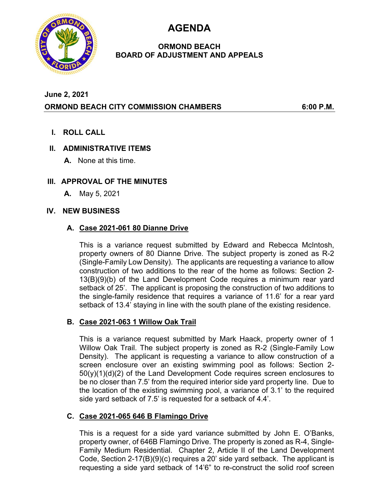**AGENDA** 



### **ORMOND BEACH BOARD OF ADJUSTMENT AND APPEALS**

# **June 2, 2021 ORMOND BEACH CITY COMMISSION CHAMBERS 6:00 P.M.**

**I. ROLL CALL** 

## **II. ADMINISTRATIVE ITEMS**

**A.** None at this time.

## **III. APPROVAL OF THE MINUTES**

**A.** May 5, 2021

### **IV. NEW BUSINESS**

### **A. Case 2021-061 80 Dianne Drive**

This is a variance request submitted by Edward and Rebecca McIntosh, property owners of 80 Dianne Drive. The subject property is zoned as R-2 (Single-Family Low Density). The applicants are requesting a variance to allow construction of two additions to the rear of the home as follows: Section 2- 13(B)(9)(b) of the Land Development Code requires a minimum rear yard setback of 25'. The applicant is proposing the construction of two additions to the single-family residence that requires a variance of 11.6' for a rear yard setback of 13.4' staying in line with the south plane of the existing residence.

## **B. Case 2021-063 1 Willow Oak Trail**

This is a variance request submitted by Mark Haack, property owner of 1 Willow Oak Trail. The subject property is zoned as R-2 (Single-Family Low Density). The applicant is requesting a variance to allow construction of a screen enclosure over an existing swimming pool as follows: Section 2- 50(y)(1)(d)(2) of the Land Development Code requires screen enclosures to be no closer than 7.5' from the required interior side yard property line. Due to the location of the existing swimming pool, a variance of 3.1' to the required side yard setback of 7.5' is requested for a setback of 4.4'.

### **C. Case 2021-065 646 B Flamingo Drive**

This is a request for a side yard variance submitted by John E. O'Banks, property owner, of 646B Flamingo Drive. The property is zoned as R-4, Single-Family Medium Residential. Chapter 2, Article II of the Land Development Code, Section 2-17(B)(9)(c) requires a 20' side yard setback. The applicant is requesting a side yard setback of 14'6" to re-construct the solid roof screen